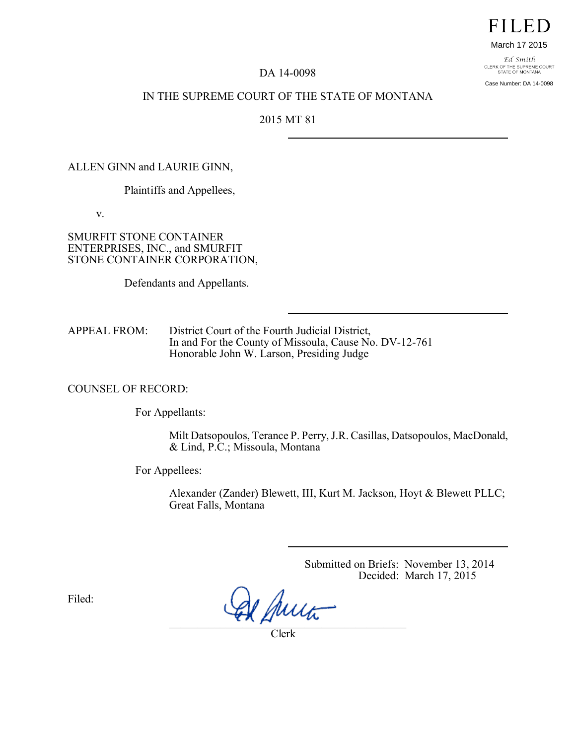# **FILED**

### March 17 2015

Ed Smith CLERK OF THE SUPREME COURT<br>STATE OF MONTANA Case Number: DA 14-0098

## DA 14-0098

## IN THE SUPREME COURT OF THE STATE OF MONTANA

# 2015 MT 81

ALLEN GINN and LAURIE GINN,

Plaintiffs and Appellees,

v.

SMURFIT STONE CONTAINER ENTERPRISES, INC., and SMURFIT STONE CONTAINER CORPORATION,

Defendants and Appellants.

APPEAL FROM: District Court of the Fourth Judicial District, In and For the County of Missoula, Cause No. DV-12-761 Honorable John W. Larson, Presiding Judge

# COUNSEL OF RECORD:

For Appellants:

Milt Datsopoulos, Terance P. Perry, J.R. Casillas, Datsopoulos, MacDonald, & Lind, P.C.; Missoula, Montana

For Appellees:

Alexander (Zander) Blewett, III, Kurt M. Jackson, Hoyt & Blewett PLLC; Great Falls, Montana

> Submitted on Briefs: November 13, 2014 Decided: March 17, 2015

Filed:

 $\mathcal{L} \wedge \mu$  as

Clerk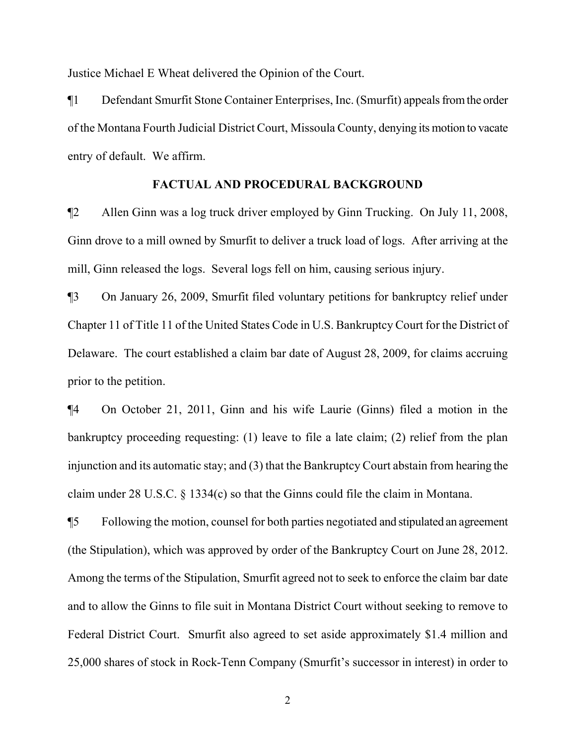Justice Michael E Wheat delivered the Opinion of the Court.

¶1 Defendant Smurfit Stone Container Enterprises, Inc. (Smurfit) appeals from the order of the Montana Fourth Judicial District Court, Missoula County, denying its motion to vacate entry of default. We affirm.

# **FACTUAL AND PROCEDURAL BACKGROUND**

¶2 Allen Ginn was a log truck driver employed by Ginn Trucking. On July 11, 2008, Ginn drove to a mill owned by Smurfit to deliver a truck load of logs. After arriving at the mill, Ginn released the logs. Several logs fell on him, causing serious injury.

¶3 On January 26, 2009, Smurfit filed voluntary petitions for bankruptcy relief under Chapter 11 of Title 11 of the United States Code in U.S. Bankruptcy Court for the District of Delaware. The court established a claim bar date of August 28, 2009, for claims accruing prior to the petition.

¶4 On October 21, 2011, Ginn and his wife Laurie (Ginns) filed a motion in the bankruptcy proceeding requesting: (1) leave to file a late claim; (2) relief from the plan injunction and its automatic stay; and (3) that the Bankruptcy Court abstain from hearing the claim under 28 U.S.C. § 1334(c) so that the Ginns could file the claim in Montana.

¶5 Following the motion, counsel for both parties negotiated and stipulated an agreement (the Stipulation), which was approved by order of the Bankruptcy Court on June 28, 2012. Among the terms of the Stipulation, Smurfit agreed not to seek to enforce the claim bar date and to allow the Ginns to file suit in Montana District Court without seeking to remove to Federal District Court. Smurfit also agreed to set aside approximately \$1.4 million and 25,000 shares of stock in Rock-Tenn Company (Smurfit's successor in interest) in order to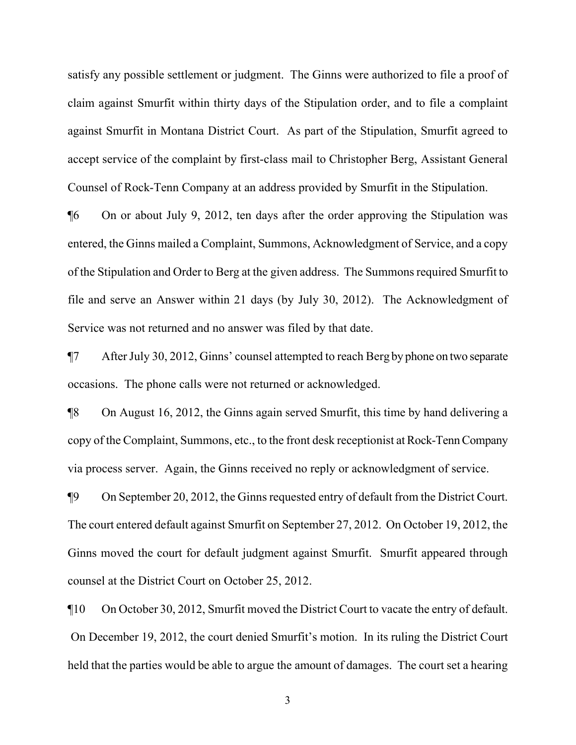satisfy any possible settlement or judgment. The Ginns were authorized to file a proof of claim against Smurfit within thirty days of the Stipulation order, and to file a complaint against Smurfit in Montana District Court. As part of the Stipulation, Smurfit agreed to accept service of the complaint by first-class mail to Christopher Berg, Assistant General Counsel of Rock-Tenn Company at an address provided by Smurfit in the Stipulation.

¶6 On or about July 9, 2012, ten days after the order approving the Stipulation was entered, the Ginns mailed a Complaint, Summons, Acknowledgment of Service, and a copy of the Stipulation and Order to Berg at the given address. The Summons required Smurfit to file and serve an Answer within 21 days (by July 30, 2012). The Acknowledgment of Service was not returned and no answer was filed by that date.

¶7 After July 30, 2012, Ginns' counsel attempted to reach Berg by phone on two separate occasions. The phone calls were not returned or acknowledged.

¶8 On August 16, 2012, the Ginns again served Smurfit, this time by hand delivering a copy of the Complaint, Summons, etc., to the front desk receptionist at Rock-Tenn Company via process server. Again, the Ginns received no reply or acknowledgment of service.

¶9 On September 20, 2012, the Ginns requested entry of default from the District Court. The court entered default against Smurfit on September 27, 2012. On October 19, 2012, the Ginns moved the court for default judgment against Smurfit. Smurfit appeared through counsel at the District Court on October 25, 2012.

¶10 On October 30, 2012, Smurfit moved the District Court to vacate the entry of default. On December 19, 2012, the court denied Smurfit's motion. In its ruling the District Court held that the parties would be able to argue the amount of damages. The court set a hearing

3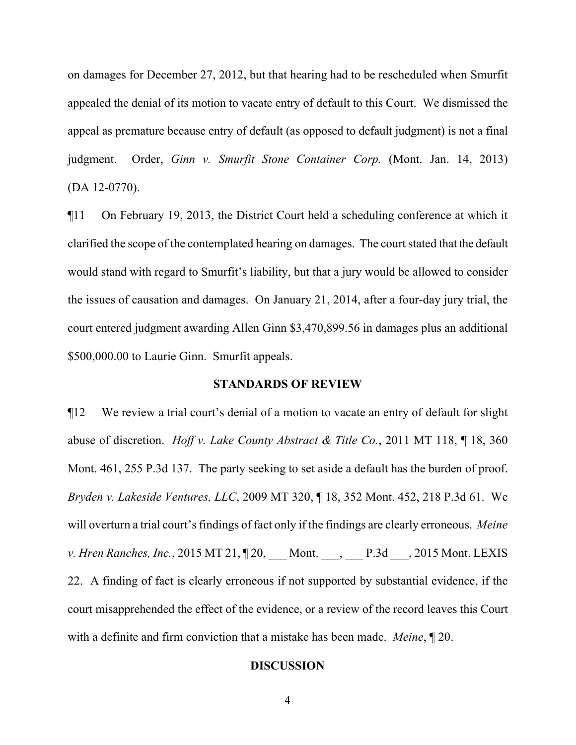on damages for December 27, 2012, but that hearing had to be rescheduled when Smurfit appealed the denial of its motion to vacate entry of default to this Court. We dismissed the appeal as premature because entry of default (as opposed to default judgment) is not a final judgment. Order, *Ginn v. Smurfit Stone Container Corp.* (Mont. Jan. 14, 2013) (DA 12-0770).

¶11 On February 19, 2013, the District Court held a scheduling conference at which it clarified the scope of the contemplated hearing on damages. The court stated that the default would stand with regard to Smurfit's liability, but that a jury would be allowed to consider the issues of causation and damages. On January 21, 2014, after a four-day jury trial, the court entered judgment awarding Allen Ginn \$3,470,899.56 in damages plus an additional \$500,000.00 to Laurie Ginn. Smurfit appeals.

## **STANDARDS OF REVIEW**

¶12 We review a trial court's denial of a motion to vacate an entry of default for slight abuse of discretion. *Hoff v. Lake County Abstract & Title Co.*, 2011 MT 118, ¶ 18, 360 Mont. 461, 255 P.3d 137. The party seeking to set aside a default has the burden of proof. *Bryden v. Lakeside Ventures, LLC*, 2009 MT 320, ¶ 18, 352 Mont. 452, 218 P.3d 61. We will overturn a trial court's findings of fact only if the findings are clearly erroneous. *Meine v. Hren Ranches, Inc.*, 2015 MT 21, 120, Mont. \_\_, P.3d \_\_, 2015 Mont. LEXIS 22. A finding of fact is clearly erroneous if not supported by substantial evidence, if the court misapprehended the effect of the evidence, or a review of the record leaves this Court with a definite and firm conviction that a mistake has been made. *Meine*, ¶ 20.

#### **DISCUSSION**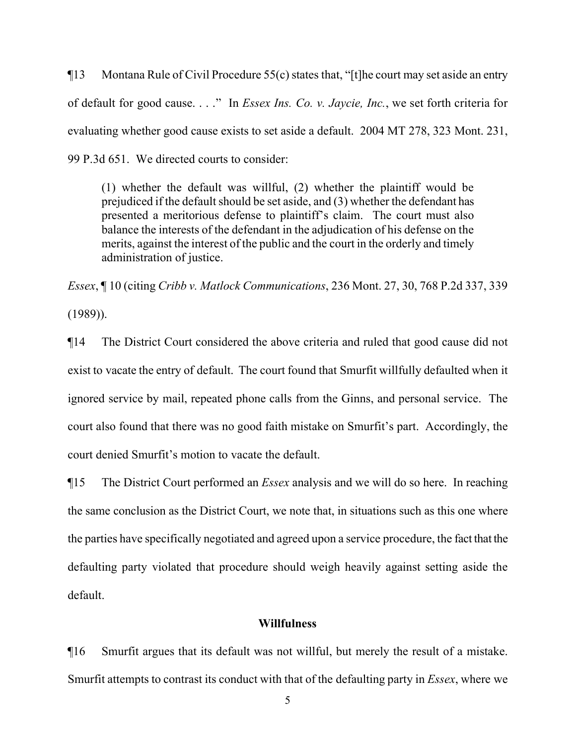¶13 Montana Rule of Civil Procedure 55(c) states that, "[t]he court may set aside an entry of default for good cause. . . ." In *Essex Ins. Co. v. Jaycie, Inc.*, we set forth criteria for evaluating whether good cause exists to set aside a default. 2004 MT 278, 323 Mont. 231, 99 P.3d 651. We directed courts to consider:

(1) whether the default was willful, (2) whether the plaintiff would be prejudiced if the default should be set aside, and (3) whether the defendant has presented a meritorious defense to plaintiff's claim. The court must also balance the interests of the defendant in the adjudication of his defense on the merits, against the interest of the public and the court in the orderly and timely administration of justice.

*Essex*, ¶ 10 (citing *Cribb v. Matlock Communications*, 236 Mont. 27, 30, 768 P.2d 337, 339 (1989)).

¶14 The District Court considered the above criteria and ruled that good cause did not exist to vacate the entry of default. The court found that Smurfit willfully defaulted when it ignored service by mail, repeated phone calls from the Ginns, and personal service. The court also found that there was no good faith mistake on Smurfit's part. Accordingly, the court denied Smurfit's motion to vacate the default.

¶15 The District Court performed an *Essex* analysis and we will do so here. In reaching the same conclusion as the District Court, we note that, in situations such as this one where the parties have specifically negotiated and agreed upon a service procedure, the fact that the defaulting party violated that procedure should weigh heavily against setting aside the default.

# **Willfulness**

¶16 Smurfit argues that its default was not willful, but merely the result of a mistake. Smurfit attempts to contrast its conduct with that of the defaulting party in *Essex*, where we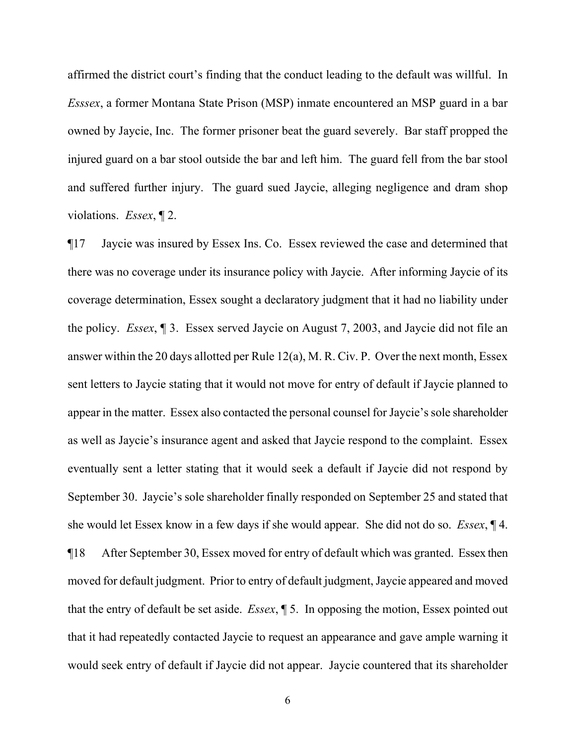affirmed the district court's finding that the conduct leading to the default was willful. In *Esssex*, a former Montana State Prison (MSP) inmate encountered an MSP guard in a bar owned by Jaycie, Inc. The former prisoner beat the guard severely. Bar staff propped the injured guard on a bar stool outside the bar and left him. The guard fell from the bar stool and suffered further injury. The guard sued Jaycie, alleging negligence and dram shop violations. *Essex*, ¶ 2.

¶17 Jaycie was insured by Essex Ins. Co. Essex reviewed the case and determined that there was no coverage under its insurance policy with Jaycie. After informing Jaycie of its coverage determination, Essex sought a declaratory judgment that it had no liability under the policy. *Essex*, ¶ 3. Essex served Jaycie on August 7, 2003, and Jaycie did not file an answer within the 20 days allotted per Rule 12(a), M. R. Civ. P. Over the next month, Essex sent letters to Jaycie stating that it would not move for entry of default if Jaycie planned to appear in the matter. Essex also contacted the personal counsel for Jaycie's sole shareholder as well as Jaycie's insurance agent and asked that Jaycie respond to the complaint. Essex eventually sent a letter stating that it would seek a default if Jaycie did not respond by September 30. Jaycie's sole shareholder finally responded on September 25 and stated that she would let Essex know in a few days if she would appear. She did not do so. *Essex*, ¶ 4. ¶18 After September 30, Essex moved for entry of default which was granted. Essex then moved for default judgment. Prior to entry of default judgment, Jaycie appeared and moved that the entry of default be set aside. *Essex*, ¶ 5. In opposing the motion, Essex pointed out that it had repeatedly contacted Jaycie to request an appearance and gave ample warning it would seek entry of default if Jaycie did not appear. Jaycie countered that its shareholder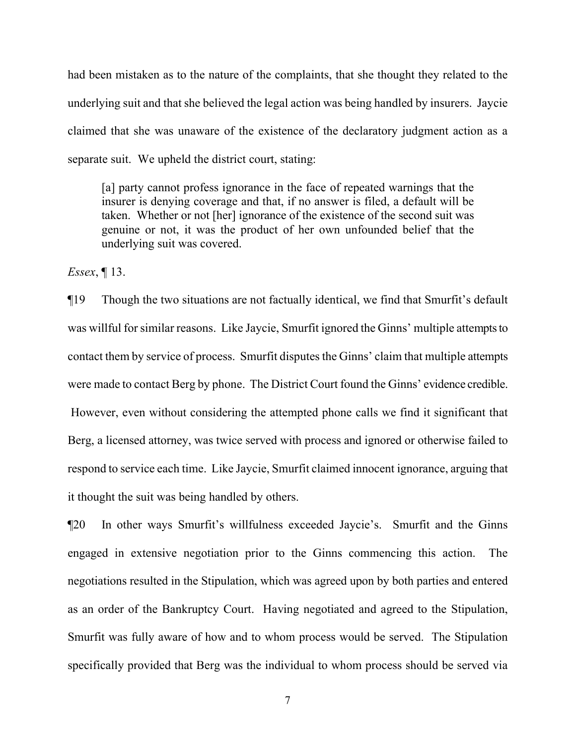had been mistaken as to the nature of the complaints, that she thought they related to the underlying suit and that she believed the legal action was being handled by insurers. Jaycie claimed that she was unaware of the existence of the declaratory judgment action as a separate suit. We upheld the district court, stating:

[a] party cannot profess ignorance in the face of repeated warnings that the insurer is denying coverage and that, if no answer is filed, a default will be taken. Whether or not [her] ignorance of the existence of the second suit was genuine or not, it was the product of her own unfounded belief that the underlying suit was covered.

*Essex*, ¶ 13.

¶19 Though the two situations are not factually identical, we find that Smurfit's default was willful for similar reasons. Like Jaycie, Smurfit ignored the Ginns' multiple attempts to contact them by service of process. Smurfit disputes the Ginns' claim that multiple attempts were made to contact Berg by phone. The District Court found the Ginns' evidence credible. However, even without considering the attempted phone calls we find it significant that Berg, a licensed attorney, was twice served with process and ignored or otherwise failed to respond to service each time. Like Jaycie, Smurfit claimed innocent ignorance, arguing that it thought the suit was being handled by others.

¶20 In other ways Smurfit's willfulness exceeded Jaycie's. Smurfit and the Ginns engaged in extensive negotiation prior to the Ginns commencing this action. The negotiations resulted in the Stipulation, which was agreed upon by both parties and entered as an order of the Bankruptcy Court. Having negotiated and agreed to the Stipulation, Smurfit was fully aware of how and to whom process would be served. The Stipulation specifically provided that Berg was the individual to whom process should be served via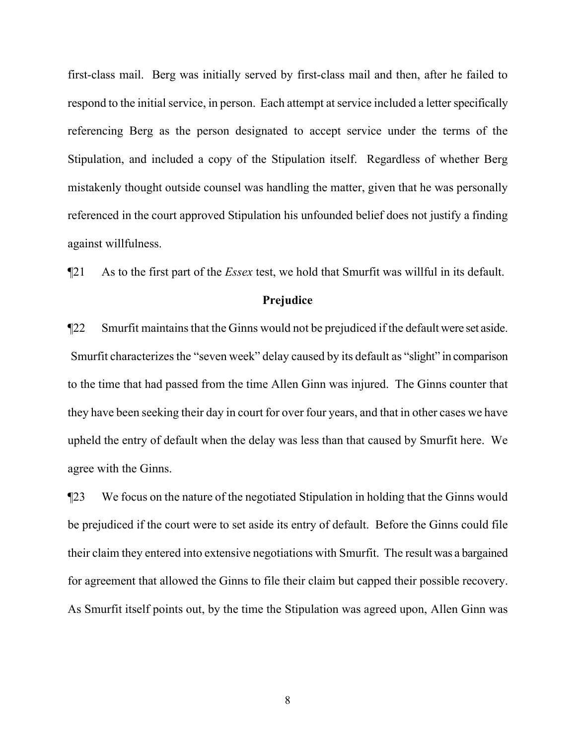first-class mail. Berg was initially served by first-class mail and then, after he failed to respond to the initial service, in person. Each attempt at service included a letter specifically referencing Berg as the person designated to accept service under the terms of the Stipulation, and included a copy of the Stipulation itself. Regardless of whether Berg mistakenly thought outside counsel was handling the matter, given that he was personally referenced in the court approved Stipulation his unfounded belief does not justify a finding against willfulness.

¶21 As to the first part of the *Essex* test, we hold that Smurfit was willful in its default.

# **Prejudice**

¶22 Smurfit maintains that the Ginns would not be prejudiced if the default were set aside. Smurfit characterizes the "seven week" delay caused by its default as "slight" in comparison to the time that had passed from the time Allen Ginn was injured. The Ginns counter that they have been seeking their day in court for over four years, and that in other cases we have upheld the entry of default when the delay was less than that caused by Smurfit here. We agree with the Ginns.

¶23 We focus on the nature of the negotiated Stipulation in holding that the Ginns would be prejudiced if the court were to set aside its entry of default. Before the Ginns could file their claim they entered into extensive negotiations with Smurfit. The result was a bargained for agreement that allowed the Ginns to file their claim but capped their possible recovery. As Smurfit itself points out, by the time the Stipulation was agreed upon, Allen Ginn was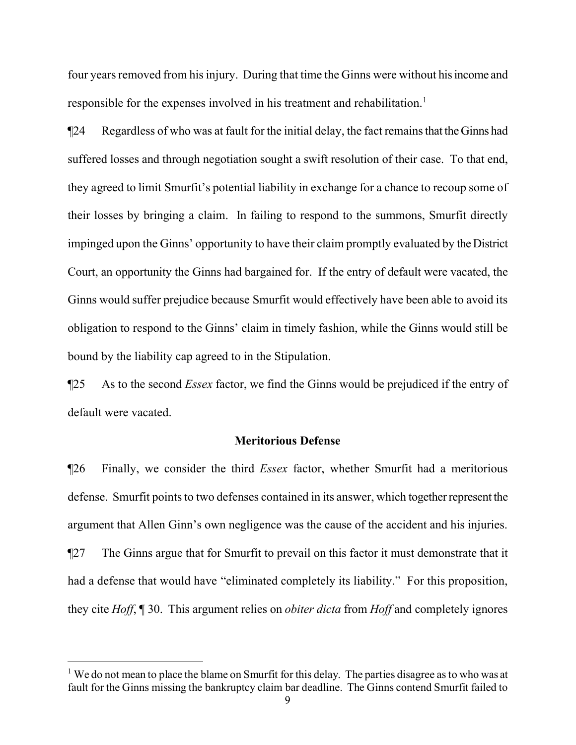four years removed from his injury. During that time the Ginns were without his income and responsible for the expenses involved in his treatment and rehabilitation.<sup>[1](#page-8-0)</sup>

¶24 Regardless of who was at fault for the initial delay, the fact remains that the Ginns had suffered losses and through negotiation sought a swift resolution of their case. To that end, they agreed to limit Smurfit's potential liability in exchange for a chance to recoup some of their losses by bringing a claim. In failing to respond to the summons, Smurfit directly impinged upon the Ginns' opportunity to have their claim promptly evaluated by the District Court, an opportunity the Ginns had bargained for. If the entry of default were vacated, the Ginns would suffer prejudice because Smurfit would effectively have been able to avoid its obligation to respond to the Ginns' claim in timely fashion, while the Ginns would still be bound by the liability cap agreed to in the Stipulation.

¶25 As to the second *Essex* factor, we find the Ginns would be prejudiced if the entry of default were vacated.

# **Meritorious Defense**

¶26 Finally, we consider the third *Essex* factor, whether Smurfit had a meritorious defense. Smurfit points to two defenses contained in its answer, which together represent the argument that Allen Ginn's own negligence was the cause of the accident and his injuries. ¶27 The Ginns argue that for Smurfit to prevail on this factor it must demonstrate that it had a defense that would have "eliminated completely its liability." For this proposition, they cite *Hoff*, ¶ 30. This argument relies on *obiter dicta* from *Hoff* and completely ignores

i<br>Li

<span id="page-8-0"></span> $<sup>1</sup>$  We do not mean to place the blame on Smurfit for this delay. The parties disagree as to who was at</sup> fault for the Ginns missing the bankruptcy claim bar deadline. The Ginns contend Smurfit failed to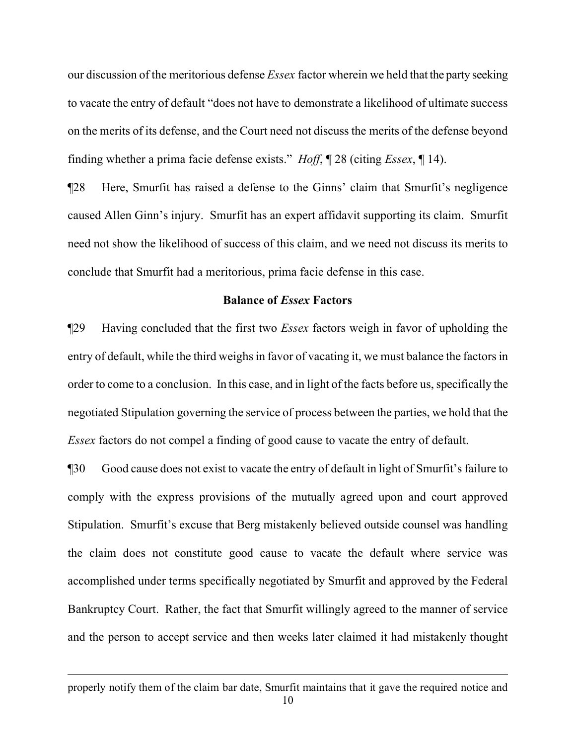our discussion of the meritorious defense *Essex* factor wherein we held that the party seeking to vacate the entry of default "does not have to demonstrate a likelihood of ultimate success on the merits of its defense, and the Court need not discuss the merits of the defense beyond finding whether a prima facie defense exists." *Hoff*, ¶ 28 (citing *Essex*, ¶ 14).

¶28 Here, Smurfit has raised a defense to the Ginns' claim that Smurfit's negligence caused Allen Ginn's injury. Smurfit has an expert affidavit supporting its claim. Smurfit need not show the likelihood of success of this claim, and we need not discuss its merits to conclude that Smurfit had a meritorious, prima facie defense in this case.

# **Balance of** *Essex* **Factors**

¶29 Having concluded that the first two *Essex* factors weigh in favor of upholding the entry of default, while the third weighs in favor of vacating it, we must balance the factors in order to come to a conclusion. In this case, and in light of the facts before us, specifically the negotiated Stipulation governing the service of process between the parties, we hold that the *Essex* factors do not compel a finding of good cause to vacate the entry of default.

¶30 Good cause does not exist to vacate the entry of default in light of Smurfit's failure to comply with the express provisions of the mutually agreed upon and court approved Stipulation. Smurfit's excuse that Berg mistakenly believed outside counsel was handling the claim does not constitute good cause to vacate the default where service was accomplished under terms specifically negotiated by Smurfit and approved by the Federal Bankruptcy Court. Rather, the fact that Smurfit willingly agreed to the manner of service and the person to accept service and then weeks later claimed it had mistakenly thought

i<br>Li

properly notify them of the claim bar date, Smurfit maintains that it gave the required notice and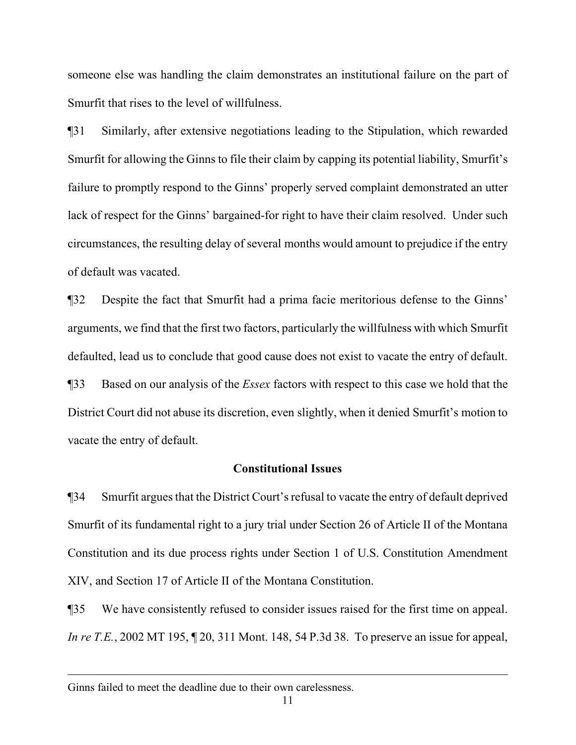someone else was handling the claim demonstrates an institutional failure on the part of Smurfit that rises to the level of willfulness.

¶31 Similarly, after extensive negotiations leading to the Stipulation, which rewarded Smurfit for allowing the Ginns to file their claim by capping its potential liability, Smurfit's failure to promptly respond to the Ginns' properly served complaint demonstrated an utter lack of respect for the Ginns' bargained-for right to have their claim resolved. Under such circumstances, the resulting delay of several months would amount to prejudice if the entry of default was vacated.

¶32 Despite the fact that Smurfit had a prima facie meritorious defense to the Ginns' arguments, we find that the first two factors, particularly the willfulness with which Smurfit defaulted, lead us to conclude that good cause does not exist to vacate the entry of default. ¶33 Based on our analysis of the *Essex* factors with respect to this case we hold that the District Court did not abuse its discretion, even slightly, when it denied Smurfit's motion to vacate the entry of default.

## **Constitutional Issues**

¶34 Smurfit argues that the District Court's refusal to vacate the entry of default deprived Smurfit of its fundamental right to a jury trial under Section 26 of Article II of the Montana Constitution and its due process rights under Section 1 of U.S. Constitution Amendment XIV, and Section 17 of Article II of the Montana Constitution.

¶35 We have consistently refused to consider issues raised for the first time on appeal. *In re T.E.*, 2002 MT 195,  $\P$  20, 311 Mont. 148, 54 P.3d 38. To preserve an issue for appeal,

Ginns failed to meet the deadline due to their own carelessness.

i<br>Li

11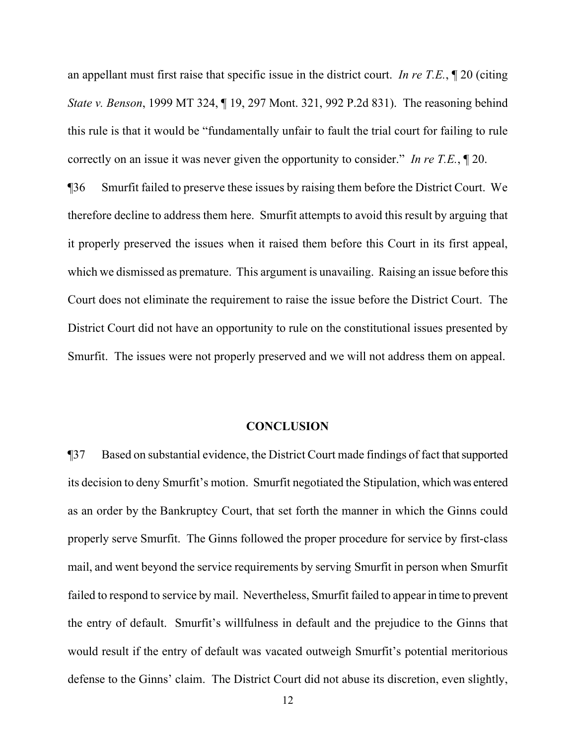an appellant must first raise that specific issue in the district court. *In re T.E.*, ¶ 20 (citing *State v. Benson*, 1999 MT 324, ¶ 19, 297 Mont. 321, 992 P.2d 831). The reasoning behind this rule is that it would be "fundamentally unfair to fault the trial court for failing to rule correctly on an issue it was never given the opportunity to consider." *In re T.E.*, ¶ 20.

¶36 Smurfit failed to preserve these issues by raising them before the District Court. We therefore decline to address them here. Smurfit attempts to avoid this result by arguing that it properly preserved the issues when it raised them before this Court in its first appeal, which we dismissed as premature. This argument is unavailing. Raising an issue before this Court does not eliminate the requirement to raise the issue before the District Court. The District Court did not have an opportunity to rule on the constitutional issues presented by Smurfit. The issues were not properly preserved and we will not address them on appeal.

## **CONCLUSION**

¶37 Based on substantial evidence, the District Court made findings of fact that supported its decision to deny Smurfit's motion. Smurfit negotiated the Stipulation, which was entered as an order by the Bankruptcy Court, that set forth the manner in which the Ginns could properly serve Smurfit. The Ginns followed the proper procedure for service by first-class mail, and went beyond the service requirements by serving Smurfit in person when Smurfit failed to respond to service by mail. Nevertheless, Smurfit failed to appear in time to prevent the entry of default. Smurfit's willfulness in default and the prejudice to the Ginns that would result if the entry of default was vacated outweigh Smurfit's potential meritorious defense to the Ginns' claim. The District Court did not abuse its discretion, even slightly,